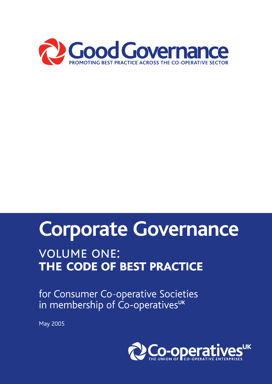

# Corporate Governance

# **VOLUME ONE:** THE CODE OF BEST PRACTICE

for Consumer Co-operative Societies in membership of Co-operativesuk

**May 2005** 

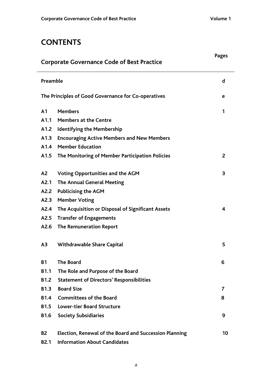## **CONTENTS**

|                | <b>Pages</b><br><b>Corporate Governance Code of Best Practice</b> |    |
|----------------|-------------------------------------------------------------------|----|
| Preamble       |                                                                   | d  |
|                | The Principles of Good Governance for Co-operatives               | е  |
| A <sub>1</sub> | <b>Members</b>                                                    | 1  |
| A1.1           | <b>Members at the Centre</b>                                      |    |
| A1.2           | <b>Identifying the Membership</b>                                 |    |
| A1.3           | <b>Encouraging Active Members and New Members</b>                 |    |
| A1.4           | <b>Member Education</b>                                           |    |
| A1.5           | The Monitoring of Member Participation Policies                   | 2  |
| A <sub>2</sub> | <b>Voting Opportunities and the AGM</b>                           | 3  |
| A2.1           | <b>The Annual General Meeting</b>                                 |    |
| A2.2           | <b>Publicising the AGM</b>                                        |    |
| A2.3           | <b>Member Voting</b>                                              |    |
| A2.4           | The Acquisition or Disposal of Significant Assets                 | 4  |
| A2.5           | <b>Transfer of Engagements</b>                                    |    |
| A2.6           | <b>The Remuneration Report</b>                                    |    |
| A <sub>3</sub> | Withdrawable Share Capital                                        | 5  |
| <b>B1</b>      | <b>The Board</b>                                                  | 6  |
| <b>B1.1</b>    | The Role and Purpose of the Board                                 |    |
| <b>B1.2</b>    | <b>Statement of Directors' Responsibilities</b>                   |    |
| <b>B1.3</b>    | <b>Board Size</b>                                                 | 7  |
| <b>B1.4</b>    | <b>Committees of the Board</b>                                    | 8  |
| <b>B1.5</b>    | <b>Lower-tier Board Structure</b>                                 |    |
| <b>B1.6</b>    | <b>Society Subsidiaries</b>                                       | 9  |
| <b>B2</b>      | <b>Election, Renewal of the Board and Succession Planning</b>     | 10 |
| <b>B2.1</b>    | <b>Information About Candidates</b>                               |    |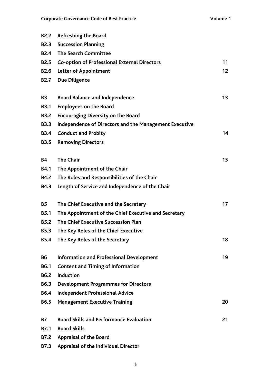| <b>B2.2</b>    | <b>Refreshing the Board</b>                            |                 |
|----------------|--------------------------------------------------------|-----------------|
| <b>B2.3</b>    | <b>Succession Planning</b>                             |                 |
| <b>B2.4</b>    | <b>The Search Committee</b>                            |                 |
| <b>B2.5</b>    | <b>Co-option of Professional External Directors</b>    | 11              |
| <b>B2.6</b>    | <b>Letter of Appointment</b>                           | 12 <sup>2</sup> |
| <b>B2.7</b>    | <b>Due Diligence</b>                                   |                 |
| B <sub>3</sub> | <b>Board Balance and Independence</b>                  | 13              |
| <b>B3.1</b>    | <b>Employees on the Board</b>                          |                 |
| <b>B3.2</b>    | <b>Encouraging Diversity on the Board</b>              |                 |
| <b>B3.3</b>    | Independence of Directors and the Management Executive |                 |
| <b>B3.4</b>    | <b>Conduct and Probity</b>                             | 14              |
| <b>B3.5</b>    | <b>Removing Directors</b>                              |                 |
| <b>B4</b>      | <b>The Chair</b>                                       | 15              |
| <b>B4.1</b>    | The Appointment of the Chair                           |                 |
| <b>B4.2</b>    | The Roles and Responsibilities of the Chair            |                 |
| <b>B4.3</b>    | Length of Service and Independence of the Chair        |                 |
| <b>B5</b>      | The Chief Executive and the Secretary                  | 17              |
| <b>B5.1</b>    | The Appointment of the Chief Executive and Secretary   |                 |
| <b>B5.2</b>    | The Chief Executive Succession Plan                    |                 |
| <b>B5.3</b>    | The Key Roles of the Chief Executive                   |                 |
| <b>B5.4</b>    | The Key Roles of the Secretary                         | 18              |
| <b>B6</b>      | <b>Information and Professional Development</b>        | 19              |
| <b>B6.1</b>    | <b>Content and Timing of Information</b>               |                 |
| <b>B6.2</b>    | <b>Induction</b>                                       |                 |
| <b>B6.3</b>    | <b>Development Programmes for Directors</b>            |                 |
| <b>B6.4</b>    | <b>Independent Professional Advice</b>                 |                 |
| <b>B6.5</b>    | <b>Management Executive Training</b>                   | 20              |
| <b>B7</b>      | <b>Board Skills and Performance Evaluation</b>         | 21              |
| <b>B7.1</b>    | <b>Board Skills</b>                                    |                 |
| <b>B7.2</b>    | <b>Appraisal of the Board</b>                          |                 |
| <b>B7.3</b>    | <b>Appraisal of the Individual Director</b>            |                 |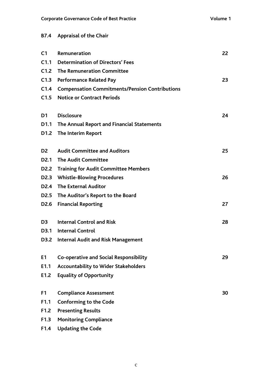### **B7.4 Appraisal of the Chair**

| C <sub>1</sub>   | Remuneration                                          | 22 |
|------------------|-------------------------------------------------------|----|
| C1.1             | <b>Determination of Directors' Fees</b>               |    |
| C1.2             | <b>The Remuneration Committee</b>                     |    |
| C1.3             | <b>Performance Related Pay</b>                        | 23 |
| C1.4             | <b>Compensation Commitments/Pension Contributions</b> |    |
| C1.5             | <b>Notice or Contract Periods</b>                     |    |
| D1               | <b>Disclosure</b>                                     | 24 |
| D1.1             | The Annual Report and Financial Statements            |    |
|                  | D1.2 The Interim Report                               |    |
| D <sub>2</sub>   | <b>Audit Committee and Auditors</b>                   | 25 |
|                  | D2.1 The Audit Committee                              |    |
|                  | D2.2 Training for Audit Committee Members             |    |
|                  | D2.3 Whistle-Blowing Procedures                       | 26 |
|                  | D2.4 The External Auditor                             |    |
|                  | D2.5 The Auditor's Report to the Board                |    |
| D <sub>2.6</sub> | <b>Financial Reporting</b>                            | 27 |
| D <sub>3</sub>   | <b>Internal Control and Risk</b>                      | 28 |
|                  | D3.1 Internal Control                                 |    |
|                  | D3.2 Internal Audit and Risk Management               |    |
| E <sub>1</sub>   | Co-operative and Social Responsibility                | 29 |
| E1.1             | <b>Accountability to Wider Stakeholders</b>           |    |
| E1.2             | <b>Equality of Opportunity</b>                        |    |
| F <sub>1</sub>   | <b>Compliance Assessment</b>                          | 30 |
| F1.1             | <b>Conforming to the Code</b>                         |    |
| F1.2             | <b>Presenting Results</b>                             |    |
| F1.3             | <b>Monitoring Compliance</b>                          |    |
| F1.4             | <b>Updating the Code</b>                              |    |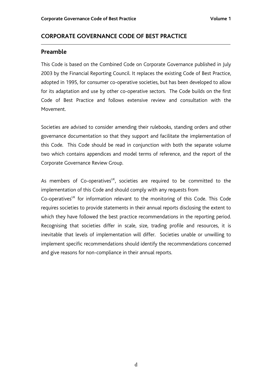#### **CORPORATE GOVERNANCE CODE OF BEST PRACTICE**

#### **Preamble**

This Code is based on the Combined Code on Corporate Governance published in July 2003 by the Financial Reporting Council. It replaces the existing Code of Best Practice, adopted in 1995, for consumer co-operative societies, but has been developed to allow for its adaptation and use by other co-operative sectors. The Code builds on the first Code of Best Practice and follows extensive review and consultation with the Movement.

Societies are advised to consider amending their rulebooks, standing orders and other governance documentation so that they support and facilitate the implementation of this Code. This Code should be read in conjunction with both the separate volume two which contains appendices and model terms of reference, and the report of the Corporate Governance Review Group.

As members of Co-operatives<sup>UK</sup>, societies are required to be committed to the implementation of this Code and should comply with any requests from

 $Co$ -operatives<sup>UK</sup> for information relevant to the monitoring of this Code. This Code requires societies to provide statements in their annual reports disclosing the extent to which they have followed the best practice recommendations in the reporting period. Recognising that societies differ in scale, size, trading profile and resources, it is inevitable that levels of implementation will differ. Societies unable or unwilling to implement specific recommendations should identify the recommendations concerned and give reasons for non-compliance in their annual reports.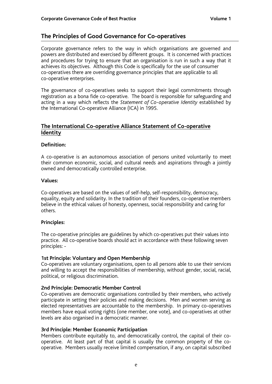#### **The Principles of Good Governance for Co-operatives**

Corporate governance refers to the way in which organisations are governed and powers are distributed and exercised by different groups. It is concerned with practices and procedures for trying to ensure that an organisation is run in such a way that it achieves its objectives. Although this Code is specifically for the use of consumer co-operatives there are overriding governance principles that are applicable to all co-operative enterprises.

The governance of co-operatives seeks to support their legal commitments through registration as a bona fide co-operative. The board is responsible for safeguarding and acting in a way which reflects the *Statement of Co-operative Identity* established by the International Co-operative Alliance (ICA) in 1995.

#### **The International Co-operative Alliance Statement of Co-operative Identity**

#### **Definition:**

A co-operative is an autonomous association of persons united voluntarily to meet their common economic, social, and cultural needs and aspirations through a jointly owned and democratically controlled enterprise.

#### **Values:**

Co-operatives are based on the values of self-help, self-responsibility, democracy, equality, equity and solidarity. In the tradition of their founders, co-operative members believe in the ethical values of honesty, openness, social responsibility and caring for others.

#### **Principles:**

The co-operative principles are guidelines by which co-operatives put their values into practice. All co-operative boards should act in accordance with these following seven principles: -

#### **1st Principle: Voluntary and Open Membership**

Co-operatives are voluntary organisations, open to all persons able to use their services and willing to accept the responsibilities of membership, without gender, social, racial, political, or religious discrimination.

#### **2nd Principle: Democratic Member Control**

Co-operatives are democratic organisations controlled by their members, who actively participate in setting their policies and making decisions. Men and women serving as elected representatives are accountable to the membership. In primary co-operatives members have equal voting rights (one member, one vote), and co-operatives at other levels are also organised in a democratic manner.

#### **3rd Principle: Member Economic Participation**

Members contribute equitably to, and democratically control, the capital of their cooperative. At least part of that capital is usually the common property of the cooperative. Members usually receive limited compensation, if any, on capital subscribed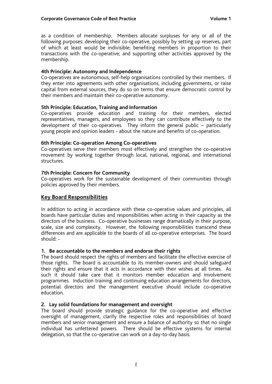as a condition of membership. Members allocate surpluses for any or all of the following purposes: developing their co-operative, possibly by setting up reserves, part of which at least would be indivisible; benefiting members in proportion to their transactions with the co-operative; and supporting other activities approved by the membership.

#### **4th Principle: Autonomy and Independence**

Co-operatives are autonomous, self-help organisations controlled by their members. If they enter into agreements with other organisations, including governments, or raise capital from external sources, they do so on terms that ensure democratic control by their members and maintain their co-operative autonomy.

#### **5th Principle: Education, Training and Information**

Co-operatives provide education and training for their members, elected representatives, managers, and employees so they can contribute effectively to the development of their co-operatives. They inform the general public – particularly young people and opinion leaders - about the nature and benefits of co-operation.

#### **6th Principle: Co-operation Among Co-operatives**

Co-operatives serve their members most effectively and strengthen the co-operative movement by working together through local, national, regional, and international structures.

#### **7th Principle: Concern for Community**

Co-operatives work for the sustainable development of their communities through policies approved by their members.

#### **Key Board Responsibilities**

In addition to acting in accordance with these co-operative values and principles, all boards have particular duties and responsibilities when acting in their capacity as the directors of the business. Co-operative businesses range dramatically in their purpose, scale, size and complexity. However, the following responsibilities transcend these differences and are applicable to the boards of all co-operative enterprises. The board should: -

#### **1. Be accountable to the members and endorse their rights**

The board should respect the rights of members and facilitate the effective exercise of those rights. The board is accountable to its member-owners and should safeguard their rights and ensure that it acts in accordance with their wishes at all times. As such it should take care that it monitors member education and involvement programmes. Induction training and continuing education arrangements for directors, potential directors and the management executive should include co-operative education.

#### **2. Lay solid foundations for management and oversight**

The board should provide strategic guidance for the co-operative and effective oversight of management, clarify the respective roles and responsibilities of board members and senior management and ensure a balance of authority so that no single individual has unfettered powers. There should be effective systems for internal delegation, so that the co-operative can work on a day-to-day basis.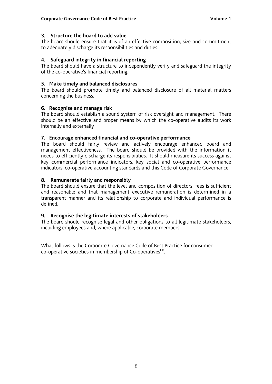#### **3. Structure the board to add value**

The board should ensure that it is of an effective composition, size and commitment to adequately discharge its responsibilities and duties.

#### **4. Safeguard integrity in financial reporting**

The board should have a structure to independently verify and safeguard the integrity of the co-operative's financial reporting.

#### **5. Make timely and balanced disclosures**

The board should promote timely and balanced disclosure of all material matters concerning the business.

#### **6. Recognise and manage risk**

The board should establish a sound system of risk oversight and management. There should be an effective and proper means by which the co-operative audits its work internally and externally

#### **7. Encourage enhanced financial and co-operative performance**

The board should fairly review and actively encourage enhanced board and management effectiveness. The board should be provided with the information it needs to efficiently discharge its responsibilities. It should measure its success against key commercial performance indicators, key social and co-operative performance indicators, co-operative accounting standards and this Code of Corporate Governance.

#### **8. Remunerate fairly and responsibly**

The board should ensure that the level and composition of directors' fees is sufficient and reasonable and that management executive remuneration is determined in a transparent manner and its relationship to corporate and individual performance is defined.

#### **9. Recognise the legitimate interests of stakeholders**

The board should recognise legal and other obligations to all legitimate stakeholders, including employees and, where applicable, corporate members.

What follows is the Corporate Governance Code of Best Practice for consumer co-operative societies in membership of Co-operatives<sup>UK</sup>.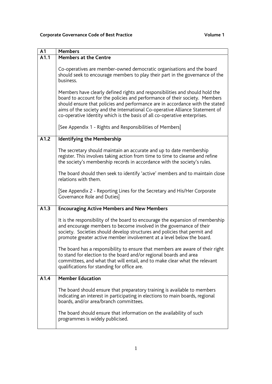| $\overline{A}1$   | <b>Members</b>                                                                                                                                                                                                                                                                                                                                                                                            |
|-------------------|-----------------------------------------------------------------------------------------------------------------------------------------------------------------------------------------------------------------------------------------------------------------------------------------------------------------------------------------------------------------------------------------------------------|
| $\overline{A1.1}$ | <b>Members at the Centre</b>                                                                                                                                                                                                                                                                                                                                                                              |
|                   | Co-operatives are member-owned democratic organisations and the board<br>should seek to encourage members to play their part in the governance of the<br>business.                                                                                                                                                                                                                                        |
|                   | Members have clearly defined rights and responsibilities and should hold the<br>board to account for the policies and performance of their society. Members<br>should ensure that policies and performance are in accordance with the stated<br>aims of the society and the International Co-operative Alliance Statement of<br>co-operative Identity which is the basis of all co-operative enterprises. |
|                   | [See Appendix 1 - Rights and Responsibilities of Members]                                                                                                                                                                                                                                                                                                                                                 |
| A1.2              | <b>Identifying the Membership</b>                                                                                                                                                                                                                                                                                                                                                                         |
|                   | The secretary should maintain an accurate and up to date membership<br>register. This involves taking action from time to time to cleanse and refine<br>the society's membership records in accordance with the society's rules.                                                                                                                                                                          |
|                   | The board should then seek to identify 'active' members and to maintain close<br>relations with them.                                                                                                                                                                                                                                                                                                     |
|                   | [See Appendix 2 - Reporting Lines for the Secretary and His/Her Corporate<br>Governance Role and Duties]                                                                                                                                                                                                                                                                                                  |
| A1.3              | <b>Encouraging Active Members and New Members</b>                                                                                                                                                                                                                                                                                                                                                         |
|                   | It is the responsibility of the board to encourage the expansion of membership<br>and encourage members to become involved in the governance of their<br>society. Societies should develop structures and policies that permit and<br>promote greater active member involvement at a level below the board.                                                                                               |
|                   | The board has a responsibility to ensure that members are aware of their right<br>to stand for election to the board and/or regional boards and area<br>committees, and what that will entail, and to make clear what the relevant<br>qualifications for standing for office are.                                                                                                                         |
| A1.4              | <b>Member Education</b>                                                                                                                                                                                                                                                                                                                                                                                   |
|                   | The board should ensure that preparatory training is available to members<br>indicating an interest in participating in elections to main boards, regional<br>boards, and/or area/branch committees.                                                                                                                                                                                                      |
|                   | The board should ensure that information on the availability of such<br>programmes is widely publicised.                                                                                                                                                                                                                                                                                                  |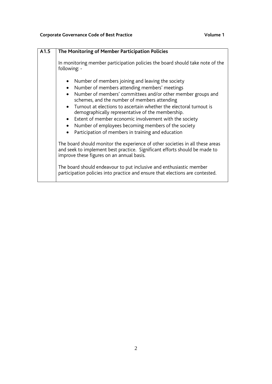| A1.5 | The Monitoring of Member Participation Policies                                                                                                                                                                                                                                                                                                                                                                                                                                                                                                |
|------|------------------------------------------------------------------------------------------------------------------------------------------------------------------------------------------------------------------------------------------------------------------------------------------------------------------------------------------------------------------------------------------------------------------------------------------------------------------------------------------------------------------------------------------------|
|      | In monitoring member participation policies the board should take note of the<br>following: -                                                                                                                                                                                                                                                                                                                                                                                                                                                  |
|      | Number of members joining and leaving the society<br>Number of members attending members' meetings<br>$\bullet$<br>Number of members' committees and/or other member groups and<br>schemes, and the number of members attending<br>Turnout at elections to ascertain whether the electoral turnout is<br>$\bullet$<br>demographically representative of the membership.<br>Extent of member economic involvement with the society<br>Number of employees becoming members of the society<br>Participation of members in training and education |
|      | The board should monitor the experience of other societies in all these areas<br>and seek to implement best practice. Significant efforts should be made to<br>improve these figures on an annual basis.                                                                                                                                                                                                                                                                                                                                       |
|      | The board should endeavour to put inclusive and enthusiastic member<br>participation policies into practice and ensure that elections are contested.                                                                                                                                                                                                                                                                                                                                                                                           |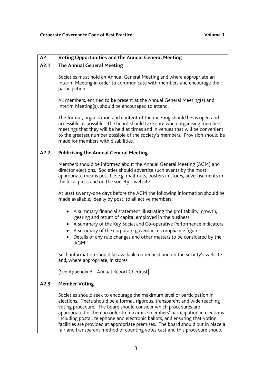| A <sub>2</sub> | <b>Voting Opportunities and the Annual General Meeting</b>                                                                                                                                                                                                                                                                                                                                                                                                                                                                                                        |
|----------------|-------------------------------------------------------------------------------------------------------------------------------------------------------------------------------------------------------------------------------------------------------------------------------------------------------------------------------------------------------------------------------------------------------------------------------------------------------------------------------------------------------------------------------------------------------------------|
| A2.1           | <b>The Annual General Meeting</b>                                                                                                                                                                                                                                                                                                                                                                                                                                                                                                                                 |
|                | Societies must hold an Annual General Meeting and where appropriate an<br>Interim Meeting in order to communicate with members and encourage their<br>participation.                                                                                                                                                                                                                                                                                                                                                                                              |
|                | All members, entitled to be present at the Annual General Meeting(s) and<br>Interim Meeting(s), should be encouraged to attend.                                                                                                                                                                                                                                                                                                                                                                                                                                   |
|                | The format, organisation and content of the meeting should be as open and<br>accessible as possible. The board should take care when organising members'<br>meetings that they will be held at times and in venues that will be convenient<br>to the greatest number possible of the society's members. Provision should be<br>made for members with disabilities.                                                                                                                                                                                                |
| A2.2           | <b>Publicising the Annual General Meeting</b>                                                                                                                                                                                                                                                                                                                                                                                                                                                                                                                     |
|                | Members should be informed about the Annual General Meeting (AGM) and<br>director elections. Societies should advertise such events by the most<br>appropriate means possible e.g. mail-outs, posters in stores, advertisements in<br>the local press and on the society's website.                                                                                                                                                                                                                                                                               |
|                | At least twenty-one days before the AGM the following information should be<br>made available, ideally by post, to all active members:                                                                                                                                                                                                                                                                                                                                                                                                                            |
|                | A summary financial statement illustrating the profitability, growth,<br>$\bullet$<br>gearing and return of capital employed in the business<br>A summary of the Key Social and Co-operative Performance Indicators<br>A summary of the corporate governance compliance figures<br>$\bullet$<br>Details of any rule changes and other matters to be considered by the<br><b>AGM</b>                                                                                                                                                                               |
|                | Such information should be available on request and on the society's website<br>and, where appropriate, in stores.                                                                                                                                                                                                                                                                                                                                                                                                                                                |
|                | [See Appendix 3 - Annual Report Checklist]                                                                                                                                                                                                                                                                                                                                                                                                                                                                                                                        |
| A2.3           | <b>Member Voting</b>                                                                                                                                                                                                                                                                                                                                                                                                                                                                                                                                              |
|                | Societies should seek to encourage the maximum level of participation in<br>elections. There should be a formal, rigorous, transparent and wide reaching<br>voting procedure. The board should consider which procedures are<br>appropriate for them in order to maximise members' participation in elections<br>including postal, telephone and electronic ballots, and ensuring that voting<br>facilities are provided at appropriate premises. The board should put in place a<br>fair and transparent method of counting votes cast and this procedure should |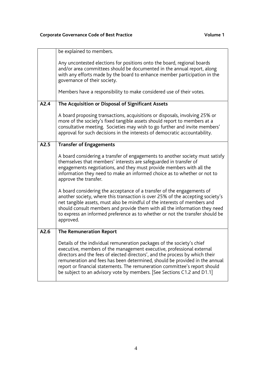|      | be explained to members.                                                                                                                                                                                                                                                                                                                                                                                                                                                |
|------|-------------------------------------------------------------------------------------------------------------------------------------------------------------------------------------------------------------------------------------------------------------------------------------------------------------------------------------------------------------------------------------------------------------------------------------------------------------------------|
|      | Any uncontested elections for positions onto the board, regional boards<br>and/or area committees should be documented in the annual report, along<br>with any efforts made by the board to enhance member participation in the<br>governance of their society.<br>Members have a responsibility to make considered use of their votes.                                                                                                                                 |
|      |                                                                                                                                                                                                                                                                                                                                                                                                                                                                         |
| A2.4 | The Acquisition or Disposal of Significant Assets                                                                                                                                                                                                                                                                                                                                                                                                                       |
|      | A board proposing transactions, acquisitions or disposals, involving 25% or<br>more of the society's fixed tangible assets should report to members at a<br>consultative meeting. Societies may wish to go further and invite members'<br>approval for such decisions in the interests of democratic accountability.                                                                                                                                                    |
| A2.5 | <b>Transfer of Engagements</b>                                                                                                                                                                                                                                                                                                                                                                                                                                          |
|      | A board considering a transfer of engagements to another society must satisfy<br>themselves that members' interests are safeguarded in transfer of<br>engagements negotiations, and they must provide members with all the<br>information they need to make an informed choice as to whether or not to<br>approve the transfer.                                                                                                                                         |
|      | A board considering the acceptance of a transfer of the engagements of<br>another society, where this transaction is over 25% of the accepting society's<br>net tangible assets, must also be mindful of the interests of members and<br>should consult members and provide them with all the information they need<br>to express an informed preference as to whether or not the transfer should be<br>approved.                                                       |
| A2.6 | <b>The Remuneration Report</b>                                                                                                                                                                                                                                                                                                                                                                                                                                          |
|      | Details of the individual remuneration packages of the society's chief<br>executive, members of the management executive, professional external<br>directors and the fees of elected directors', and the process by which their<br>remuneration and fees has been determined, should be provided in the annual<br>report or financial statements. The remuneration committee's report should<br>be subject to an advisory vote by members. [See Sections C1.2 and D1.1] |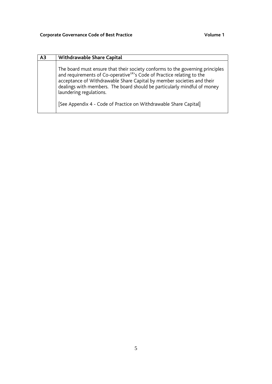| A <sub>3</sub> | <b>Withdrawable Share Capital</b>                                                                                                                                                                                                                                                                                                                    |
|----------------|------------------------------------------------------------------------------------------------------------------------------------------------------------------------------------------------------------------------------------------------------------------------------------------------------------------------------------------------------|
|                | The board must ensure that their society conforms to the governing principles<br>and requirements of Co-operative <sup>UK'</sup> s Code of Practice relating to the<br>acceptance of Withdrawable Share Capital by member societies and their<br>dealings with members. The board should be particularly mindful of money<br>laundering regulations. |
|                | [See Appendix 4 - Code of Practice on Withdrawable Share Capital]                                                                                                                                                                                                                                                                                    |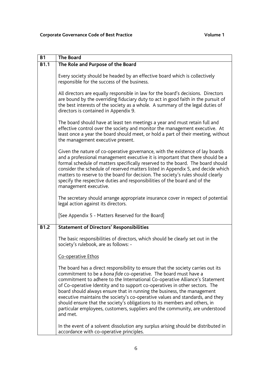| <b>B1</b>   | <b>The Board</b>                                                                                                                                                                                                                                                                                                                                                                                                                                                                                                                                                                                                                                         |
|-------------|----------------------------------------------------------------------------------------------------------------------------------------------------------------------------------------------------------------------------------------------------------------------------------------------------------------------------------------------------------------------------------------------------------------------------------------------------------------------------------------------------------------------------------------------------------------------------------------------------------------------------------------------------------|
| <b>B1.1</b> | The Role and Purpose of the Board                                                                                                                                                                                                                                                                                                                                                                                                                                                                                                                                                                                                                        |
|             | Every society should be headed by an effective board which is collectively<br>responsible for the success of the business.                                                                                                                                                                                                                                                                                                                                                                                                                                                                                                                               |
|             | All directors are equally responsible in law for the board's decisions. Directors<br>are bound by the overriding fiduciary duty to act in good faith in the pursuit of<br>the best interests of the society as a whole. A summary of the legal duties of<br>directors is contained in Appendix 9.                                                                                                                                                                                                                                                                                                                                                        |
|             | The board should have at least ten meetings a year and must retain full and<br>effective control over the society and monitor the management executive. At<br>least once a year the board should meet, or hold a part of their meeting, without<br>the management executive present.                                                                                                                                                                                                                                                                                                                                                                     |
|             | Given the nature of co-operative governance, with the existence of lay boards<br>and a professional management executive it is important that there should be a<br>formal schedule of matters specifically reserved to the board. The board should<br>consider the schedule of reserved matters listed in Appendix 5, and decide which<br>matters to reserve to the board for decision. The society's rules should clearly<br>specify the respective duties and responsibilities of the board and of the<br>management executive.                                                                                                                        |
|             | The secretary should arrange appropriate insurance cover in respect of potential<br>legal action against its directors.                                                                                                                                                                                                                                                                                                                                                                                                                                                                                                                                  |
|             | [See Appendix 5 - Matters Reserved for the Board]                                                                                                                                                                                                                                                                                                                                                                                                                                                                                                                                                                                                        |
| <b>B1.2</b> | <b>Statement of Directors' Responsibilities</b>                                                                                                                                                                                                                                                                                                                                                                                                                                                                                                                                                                                                          |
|             | The basic responsibilities of directors, which should be clearly set out in the<br>society's rulebook, are as follows: -                                                                                                                                                                                                                                                                                                                                                                                                                                                                                                                                 |
|             | Co-operative Ethos                                                                                                                                                                                                                                                                                                                                                                                                                                                                                                                                                                                                                                       |
|             | The board has a direct responsibility to ensure that the society carries out its<br>commitment to be a bona fide co-operative. The board must have a<br>commitment to adhere to the International Co-operative Alliance's Statement<br>of Co-operative Identity and to support co-operatives in other sectors. The<br>board should always ensure that in running the business, the management<br>executive maintains the society's co-operative values and standards, and they<br>should ensure that the society's obligations to its members and others, in<br>particular employees, customers, suppliers and the community, are understood<br>and met. |
|             | In the event of a solvent dissolution any surplus arising should be distributed in<br>accordance with co-operative principles.                                                                                                                                                                                                                                                                                                                                                                                                                                                                                                                           |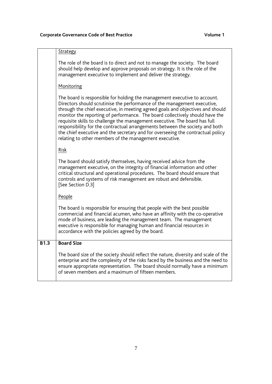|             | Strategy                                                                                                                                                                                                                                                                                                                                                                                                                                                                                                                                                                                                                           |
|-------------|------------------------------------------------------------------------------------------------------------------------------------------------------------------------------------------------------------------------------------------------------------------------------------------------------------------------------------------------------------------------------------------------------------------------------------------------------------------------------------------------------------------------------------------------------------------------------------------------------------------------------------|
|             | The role of the board is to direct and not to manage the society. The board<br>should help develop and approve proposals on strategy. It is the role of the<br>management executive to implement and deliver the strategy.                                                                                                                                                                                                                                                                                                                                                                                                         |
|             | Monitoring                                                                                                                                                                                                                                                                                                                                                                                                                                                                                                                                                                                                                         |
|             | The board is responsible for holding the management executive to account.<br>Directors should scrutinise the performance of the management executive,<br>through the chief executive, in meeting agreed goals and objectives and should<br>monitor the reporting of performance. The board collectively should have the<br>requisite skills to challenge the management executive. The board has full<br>responsibility for the contractual arrangements between the society and both<br>the chief executive and the secretary and for overseeing the contractual policy<br>relating to other members of the management executive. |
|             | Risk                                                                                                                                                                                                                                                                                                                                                                                                                                                                                                                                                                                                                               |
|             | The board should satisfy themselves, having received advice from the<br>management executive, on the integrity of financial information and other<br>critical structural and operational procedures. The board should ensure that<br>controls and systems of risk management are robust and defensible.<br>[See Section D.3]                                                                                                                                                                                                                                                                                                       |
|             | People                                                                                                                                                                                                                                                                                                                                                                                                                                                                                                                                                                                                                             |
|             | The board is responsible for ensuring that people with the best possible<br>commercial and financial acumen, who have an affinity with the co-operative<br>mode of business, are leading the management team. The management<br>executive is responsible for managing human and financial resources in<br>accordance with the policies agreed by the board.                                                                                                                                                                                                                                                                        |
| <b>B1.3</b> | <b>Board Size</b>                                                                                                                                                                                                                                                                                                                                                                                                                                                                                                                                                                                                                  |
|             | The board size of the society should reflect the nature, diversity and scale of the<br>enterprise and the complexity of the risks faced by the business and the need to<br>ensure appropriate representation. The board should normally have a minimum<br>of seven members and a maximum of fifteen members.                                                                                                                                                                                                                                                                                                                       |
|             |                                                                                                                                                                                                                                                                                                                                                                                                                                                                                                                                                                                                                                    |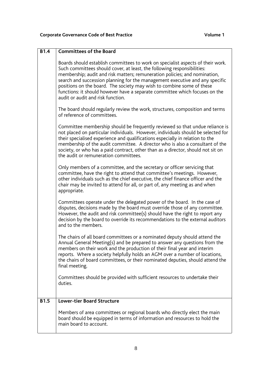| <b>B1.4</b> | <b>Committees of the Board</b>                                                                                                                                                                                                                                                                                                                                                                                                                                                                                        |
|-------------|-----------------------------------------------------------------------------------------------------------------------------------------------------------------------------------------------------------------------------------------------------------------------------------------------------------------------------------------------------------------------------------------------------------------------------------------------------------------------------------------------------------------------|
|             | Boards should establish committees to work on specialist aspects of their work.<br>Such committees should cover, at least, the following responsibilities:<br>membership; audit and risk matters; remuneration policies; and nomination,<br>search and succession planning for the management executive and any specific<br>positions on the board. The society may wish to combine some of these<br>functions: it should however have a separate committee which focuses on the<br>audit or audit and risk function. |
|             | The board should regularly review the work, structures, composition and terms<br>of reference of committees.                                                                                                                                                                                                                                                                                                                                                                                                          |
|             | Committee membership should be frequently reviewed so that undue reliance is<br>not placed on particular individuals. However, individuals should be selected for<br>their specialised experience and qualifications especially in relation to the<br>membership of the audit committee. A director who is also a consultant of the<br>society, or who has a paid contract, other than as a director, should not sit on<br>the audit or remuneration committees.                                                      |
|             | Only members of a committee, and the secretary or officer servicing that<br>committee, have the right to attend that committee's meetings. However,<br>other individuals such as the chief executive, the chief finance officer and the<br>chair may be invited to attend for all, or part of, any meeting as and when<br>appropriate.                                                                                                                                                                                |
|             | Committees operate under the delegated power of the board. In the case of<br>disputes, decisions made by the board must override those of any committee.<br>However, the audit and risk committee(s) should have the right to report any<br>decision by the board to override its recommendations to the external auditors<br>and to the members.                                                                                                                                                                     |
|             | The chairs of all board committees or a nominated deputy should attend the<br>Annual General Meeting(s) and be prepared to answer any questions from the<br>members on their work and the production of their final year and interim<br>reports. Where a society helpfully holds an AGM over a number of locations,<br>the chairs of board committees, or their nominated deputies, should attend the<br>final meeting.                                                                                               |
|             | Committees should be provided with sufficient resources to undertake their<br>duties.                                                                                                                                                                                                                                                                                                                                                                                                                                 |
| <b>B1.5</b> | <b>Lower-tier Board Structure</b>                                                                                                                                                                                                                                                                                                                                                                                                                                                                                     |
|             | Members of area committees or regional boards who directly elect the main<br>board should be equipped in terms of information and resources to hold the<br>main board to account.                                                                                                                                                                                                                                                                                                                                     |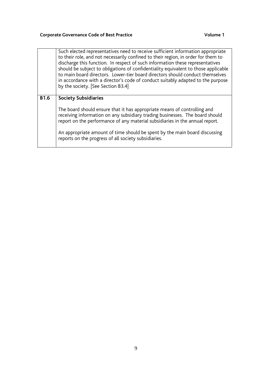|             | Such elected representatives need to receive sufficient information appropriate<br>to their role, and not necessarily confined to their region, in order for them to<br>discharge this function. In respect of such information these representatives<br>should be subject to obligations of confidentiality equivalent to those applicable<br>to main board directors. Lower-tier board directors should conduct themselves<br>in accordance with a director's code of conduct suitably adapted to the purpose<br>by the society. [See Section B3.4] |
|-------------|-------------------------------------------------------------------------------------------------------------------------------------------------------------------------------------------------------------------------------------------------------------------------------------------------------------------------------------------------------------------------------------------------------------------------------------------------------------------------------------------------------------------------------------------------------|
| <b>B1.6</b> | <b>Society Subsidiaries</b>                                                                                                                                                                                                                                                                                                                                                                                                                                                                                                                           |
|             | The board should ensure that it has appropriate means of controlling and<br>receiving information on any subsidiary trading businesses. The board should<br>report on the performance of any material subsidiaries in the annual report.                                                                                                                                                                                                                                                                                                              |
|             | An appropriate amount of time should be spent by the main board discussing<br>reports on the progress of all society subsidiaries.                                                                                                                                                                                                                                                                                                                                                                                                                    |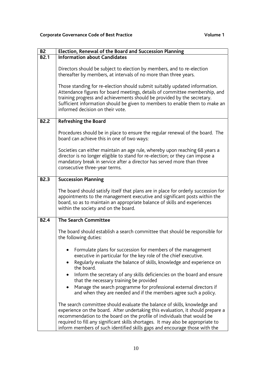| <b>B2</b>   | Election, Renewal of the Board and Succession Planning                                                                                                                                                                                                                                                                                                                                                                                                                                                |
|-------------|-------------------------------------------------------------------------------------------------------------------------------------------------------------------------------------------------------------------------------------------------------------------------------------------------------------------------------------------------------------------------------------------------------------------------------------------------------------------------------------------------------|
| <b>B2.1</b> | <b>Information about Candidates</b>                                                                                                                                                                                                                                                                                                                                                                                                                                                                   |
|             | Directors should be subject to election by members, and to re-election<br>thereafter by members, at intervals of no more than three years.<br>Those standing for re-election should submit suitably updated information.<br>Attendance figures for board meetings, details of committee membership, and<br>training progress and achievements should be provided by the secretary.<br>Sufficient information should be given to members to enable them to make an<br>informed decision on their vote. |
|             |                                                                                                                                                                                                                                                                                                                                                                                                                                                                                                       |
| <b>B2.2</b> | <b>Refreshing the Board</b>                                                                                                                                                                                                                                                                                                                                                                                                                                                                           |
|             | Procedures should be in place to ensure the regular renewal of the board. The<br>board can achieve this in one of two ways:                                                                                                                                                                                                                                                                                                                                                                           |
|             | Societies can either maintain an age rule, whereby upon reaching 68 years a<br>director is no longer eligible to stand for re-election; or they can impose a<br>mandatory break in service after a director has served more than three<br>consecutive three-year terms.                                                                                                                                                                                                                               |
| <b>B2.3</b> | <b>Succession Planning</b>                                                                                                                                                                                                                                                                                                                                                                                                                                                                            |
|             | The board should satisfy itself that plans are in place for orderly succession for<br>appointments to the management executive and significant posts within the<br>board, so as to maintain an appropriate balance of skills and experiences<br>within the society and on the board.                                                                                                                                                                                                                  |
| <b>B2.4</b> | <b>The Search Committee</b>                                                                                                                                                                                                                                                                                                                                                                                                                                                                           |
|             | The board should establish a search committee that should be responsible for<br>the following duties:                                                                                                                                                                                                                                                                                                                                                                                                 |
|             | Formulate plans for succession for members of the management<br>executive in particular for the key role of the chief executive.<br>Regularly evaluate the balance of skills, knowledge and experience on<br>the board.                                                                                                                                                                                                                                                                               |
|             | Inform the secretary of any skills deficiencies on the board and ensure<br>that the necessary training be provided                                                                                                                                                                                                                                                                                                                                                                                    |
|             | Manage the search programme for professional external directors if<br>and when they are needed and if the members agree such a policy.                                                                                                                                                                                                                                                                                                                                                                |
|             | The search committee should evaluate the balance of skills, knowledge and<br>experience on the board. After undertaking this evaluation, it should prepare a<br>recommendation to the board on the profile of individuals that would be<br>required to fill any significant skills shortages. It may also be appropriate to<br>inform members of such identified skills gaps and encourage those with the                                                                                             |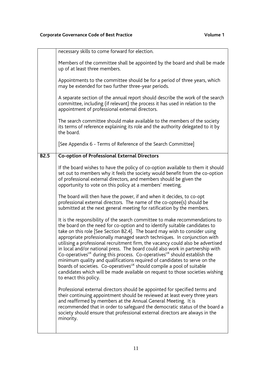|             | necessary skills to come forward for election.                                                                                                                                                                                                                                                                                                                                                                                                                                                                                                                                                                                                                                                                                                                                                                                                                             |
|-------------|----------------------------------------------------------------------------------------------------------------------------------------------------------------------------------------------------------------------------------------------------------------------------------------------------------------------------------------------------------------------------------------------------------------------------------------------------------------------------------------------------------------------------------------------------------------------------------------------------------------------------------------------------------------------------------------------------------------------------------------------------------------------------------------------------------------------------------------------------------------------------|
|             | Members of the committee shall be appointed by the board and shall be made<br>up of at least three members.                                                                                                                                                                                                                                                                                                                                                                                                                                                                                                                                                                                                                                                                                                                                                                |
|             | Appointments to the committee should be for a period of three years, which<br>may be extended for two further three-year periods.                                                                                                                                                                                                                                                                                                                                                                                                                                                                                                                                                                                                                                                                                                                                          |
|             | A separate section of the annual report should describe the work of the search<br>committee, including (if relevant) the process it has used in relation to the<br>appointment of professional external directors.                                                                                                                                                                                                                                                                                                                                                                                                                                                                                                                                                                                                                                                         |
|             | The search committee should make available to the members of the society<br>its terms of reference explaining its role and the authority delegated to it by<br>the board.                                                                                                                                                                                                                                                                                                                                                                                                                                                                                                                                                                                                                                                                                                  |
|             | [See Appendix 6 - Terms of Reference of the Search Committee]                                                                                                                                                                                                                                                                                                                                                                                                                                                                                                                                                                                                                                                                                                                                                                                                              |
| <b>B2.5</b> | <b>Co-option of Professional External Directors</b>                                                                                                                                                                                                                                                                                                                                                                                                                                                                                                                                                                                                                                                                                                                                                                                                                        |
|             | If the board wishes to have the policy of co-option available to them it should<br>set out to members why it feels the society would benefit from the co-option<br>of professional external directors, and members should be given the<br>opportunity to vote on this policy at a members' meeting.                                                                                                                                                                                                                                                                                                                                                                                                                                                                                                                                                                        |
|             | The board will then have the power, if and when it decides, to co-opt<br>professional external directors. The name of the co-optee(s) should be<br>submitted at the next general meeting for ratification by the members.                                                                                                                                                                                                                                                                                                                                                                                                                                                                                                                                                                                                                                                  |
|             | It is the responsibility of the search committee to make recommendations to<br>the board on the need for co-option and to identify suitable candidates to<br>take on this role [See Section B2.4]. The board may wish to consider using<br>appropriate professionally managed search techniques. In conjunction with<br>utilising a professional recruitment firm, the vacancy could also be advertised<br>in local and/or national press. The board could also work in partnership with<br>Co-operatives <sup>UK</sup> during this process. Co-operatives <sup>UK</sup> should establish the<br>minimum quality and qualifications required of candidates to serve on the<br>boards of societies. Co-operatives <sup>UK</sup> should compile a pool of suitable<br>candidates which will be made available on request to those societies wishing<br>to enact this policy. |
|             | Professional external directors should be appointed for specified terms and<br>their continuing appointment should be reviewed at least every three years<br>and reaffirmed by members at the Annual General Meeting. It is<br>recommended that in order to safeguard the democratic status of the board a<br>society should ensure that professional external directors are always in the<br>minority.                                                                                                                                                                                                                                                                                                                                                                                                                                                                    |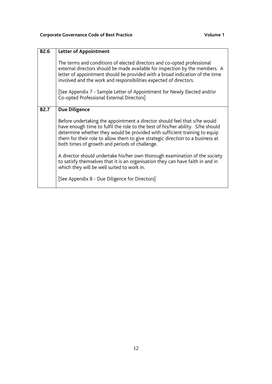| <b>B2.6</b> | <b>Letter of Appointment</b>                                                                                                                                                                                                                                                                                                                                                                                                                                                                                                                                                                                                                                     |
|-------------|------------------------------------------------------------------------------------------------------------------------------------------------------------------------------------------------------------------------------------------------------------------------------------------------------------------------------------------------------------------------------------------------------------------------------------------------------------------------------------------------------------------------------------------------------------------------------------------------------------------------------------------------------------------|
|             | The terms and conditions of elected directors and co-opted professional<br>external directors should be made available for inspection by the members. A<br>letter of appointment should be provided with a broad indication of the time<br>involved and the work and responsibilities expected of directors.<br>[See Appendix 7 - Sample Letter of Appointment for Newly Elected and/or<br>Co-opted Professional External Directors]                                                                                                                                                                                                                             |
| <b>B2.7</b> | Due Diligence<br>Before undertaking the appointment a director should feel that s/he would<br>have enough time to fulfil the role to the best of his/her ability. S/he should<br>determine whether they would be provided with sufficient training to equip<br>them for their role to allow them to give strategic direction to a business at<br>both times of growth and periods of challenge.<br>A director should undertake his/her own thorough examination of the society<br>to satisfy themselves that it is an organisation they can have faith in and in<br>which they will be well suited to work in.<br>[See Appendix 8 - Due Diligence for Directors] |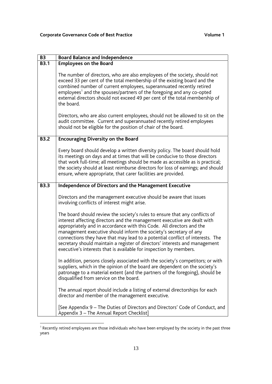| <b>B3</b>   | <b>Board Balance and Independence</b>                                                                                                                                                                                                                                                                                                                                                                                                                                                                                                       |
|-------------|---------------------------------------------------------------------------------------------------------------------------------------------------------------------------------------------------------------------------------------------------------------------------------------------------------------------------------------------------------------------------------------------------------------------------------------------------------------------------------------------------------------------------------------------|
| <b>B3.1</b> | <b>Employees on the Board</b>                                                                                                                                                                                                                                                                                                                                                                                                                                                                                                               |
|             | The number of directors, who are also employees of the society, should not<br>exceed 33 per cent of the total membership of the existing board and the<br>combined number of current employees, superannuated recently retired<br>employees <sup>1</sup> and the spouses/partners of the foregoing and any co-opted<br>external directors should not exceed 49 per cent of the total membership of<br>the board.                                                                                                                            |
|             | Directors, who are also current employees, should not be allowed to sit on the<br>audit committee. Current and superannuated recently retired employees<br>should not be eligible for the position of chair of the board.                                                                                                                                                                                                                                                                                                                   |
| <b>B3.2</b> | <b>Encouraging Diversity on the Board</b>                                                                                                                                                                                                                                                                                                                                                                                                                                                                                                   |
|             | Every board should develop a written diversity policy. The board should hold<br>its meetings on days and at times that will be conducive to those directors<br>that work full-time; all meetings should be made as accessible as is practical;<br>the society should at least reimburse directors for loss of earnings; and should<br>ensure, where appropriate, that carer facilities are provided.                                                                                                                                        |
| <b>B3.3</b> | Independence of Directors and the Management Executive                                                                                                                                                                                                                                                                                                                                                                                                                                                                                      |
|             | Directors and the management executive should be aware that issues<br>involving conflicts of interest might arise.                                                                                                                                                                                                                                                                                                                                                                                                                          |
|             | The board should review the society's rules to ensure that any conflicts of<br>interest affecting directors and the management executive are dealt with<br>appropriately and in accordance with this Code. All directors and the<br>management executive should inform the society's secretary of any<br>connections they have that may lead to a potential conflict of interests. The<br>secretary should maintain a register of directors' interests and management<br>executive's interests that is available for inspection by members. |
|             | In addition, persons closely associated with the society's competitors; or with<br>suppliers, which in the opinion of the board are dependent on the society's<br>patronage to a material extent (and the partners of the foregoing), should be<br>disqualified from service on the board.                                                                                                                                                                                                                                                  |
|             | The annual report should include a listing of external directorships for each<br>director and member of the management executive.                                                                                                                                                                                                                                                                                                                                                                                                           |
|             | [See Appendix 9 – The Duties of Directors and Directors' Code of Conduct, and<br>Appendix 3 - The Annual Report Checklist]                                                                                                                                                                                                                                                                                                                                                                                                                  |

The all the cently retired employees are those individuals who have been employed by the society in the past three<br>Thecently retired employees are those individuals who have been employed by the society in the past three years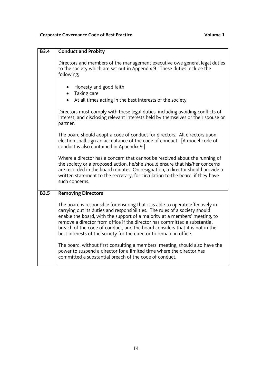| <b>B3.4</b> | <b>Conduct and Probity</b>                                                                                                                                                                                                                                                                                                                                                                                                                                                       |
|-------------|----------------------------------------------------------------------------------------------------------------------------------------------------------------------------------------------------------------------------------------------------------------------------------------------------------------------------------------------------------------------------------------------------------------------------------------------------------------------------------|
|             | Directors and members of the management executive owe general legal duties<br>to the society which are set out in Appendix 9. These duties include the<br>following;                                                                                                                                                                                                                                                                                                             |
|             | Honesty and good faith<br>Taking care<br>At all times acting in the best interests of the society                                                                                                                                                                                                                                                                                                                                                                                |
|             | Directors must comply with these legal duties, including avoiding conflicts of<br>interest, and disclosing relevant interests held by themselves or their spouse or<br>partner.                                                                                                                                                                                                                                                                                                  |
|             | The board should adopt a code of conduct for directors. All directors upon<br>election shall sign an acceptance of the code of conduct. [A model code of<br>conduct is also contained in Appendix 9.]                                                                                                                                                                                                                                                                            |
|             | Where a director has a concern that cannot be resolved about the running of<br>the society or a proposed action, he/she should ensure that his/her concerns<br>are recorded in the board minutes. On resignation, a director should provide a<br>written statement to the secretary, for circulation to the board, if they have<br>such concerns.                                                                                                                                |
| <b>B3.5</b> | <b>Removing Directors</b>                                                                                                                                                                                                                                                                                                                                                                                                                                                        |
|             | The board is responsible for ensuring that it is able to operate effectively in<br>carrying out its duties and responsibilities. The rules of a society should<br>enable the board, with the support of a majority at a members' meeting, to<br>remove a director from office if the director has committed a substantial<br>breach of the code of conduct, and the board considers that it is not in the<br>best interests of the society for the director to remain in office. |
|             | The board, without first consulting a members' meeting, should also have the<br>power to suspend a director for a limited time where the director has<br>committed a substantial breach of the code of conduct.                                                                                                                                                                                                                                                                  |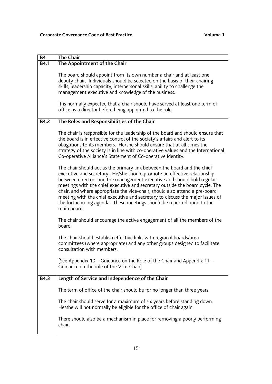| <b>B4</b>   | <b>The Chair</b>                                                                                                                                                                                                                                                                                                                                                                                                                                                                                                                                                       |
|-------------|------------------------------------------------------------------------------------------------------------------------------------------------------------------------------------------------------------------------------------------------------------------------------------------------------------------------------------------------------------------------------------------------------------------------------------------------------------------------------------------------------------------------------------------------------------------------|
| <b>B4.1</b> | The Appointment of the Chair                                                                                                                                                                                                                                                                                                                                                                                                                                                                                                                                           |
|             | The board should appoint from its own number a chair and at least one<br>deputy chair. Individuals should be selected on the basis of their chairing<br>skills, leadership capacity, interpersonal skills, ability to challenge the<br>management executive and knowledge of the business.<br>It is normally expected that a chair should have served at least one term of<br>office as a director before being appointed to the role.                                                                                                                                 |
|             |                                                                                                                                                                                                                                                                                                                                                                                                                                                                                                                                                                        |
| <b>B4.2</b> | The Roles and Responsibilities of the Chair                                                                                                                                                                                                                                                                                                                                                                                                                                                                                                                            |
|             | The chair is responsible for the leadership of the board and should ensure that<br>the board is in effective control of the society's affairs and alert to its<br>obligations to its members. He/she should ensure that at all times the<br>strategy of the society is in line with co-operative values and the International<br>Co-operative Alliance's Statement of Co-operative Identity.                                                                                                                                                                           |
|             | The chair should act as the primary link between the board and the chief<br>executive and secretary. He/she should promote an effective relationship<br>between directors and the management executive and should hold regular<br>meetings with the chief executive and secretary outside the board cycle. The<br>chair, and where appropriate the vice-chair, should also attend a pre-board<br>meeting with the chief executive and secretary to discuss the major issues of<br>the forthcoming agenda. These meetings should be reported upon to the<br>main board. |
|             | The chair should encourage the active engagement of all the members of the<br>board.                                                                                                                                                                                                                                                                                                                                                                                                                                                                                   |
|             | The chair should establish effective links with regional boards/area<br>committees (where appropriate) and any other groups designed to facilitate<br>consultation with members.                                                                                                                                                                                                                                                                                                                                                                                       |
|             | [See Appendix 10 - Guidance on the Role of the Chair and Appendix 11 -<br>Guidance on the role of the Vice-Chair]                                                                                                                                                                                                                                                                                                                                                                                                                                                      |
| <b>B4.3</b> | Length of Service and Independence of the Chair                                                                                                                                                                                                                                                                                                                                                                                                                                                                                                                        |
|             | The term of office of the chair should be for no longer than three years.                                                                                                                                                                                                                                                                                                                                                                                                                                                                                              |
|             | The chair should serve for a maximum of six years before standing down.<br>He/she will not normally be eligible for the office of chair again.                                                                                                                                                                                                                                                                                                                                                                                                                         |
|             | There should also be a mechanism in place for removing a poorly performing<br>chair.                                                                                                                                                                                                                                                                                                                                                                                                                                                                                   |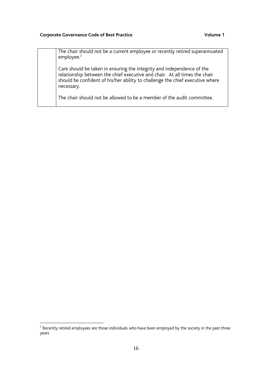#### Corporate Governance Code of Best Practice **Volume 1** Volume 1

| The chair should not be a current employee or recently retired superannuated<br>employee. $2$                                                                                                                                                       |
|-----------------------------------------------------------------------------------------------------------------------------------------------------------------------------------------------------------------------------------------------------|
| Care should be taken in ensuring the integrity and independence of the<br>relationship between the chief executive and chair. At all times the chair<br>should be confident of his/her ability to challenge the chief executive where<br>necessary. |
| The chair should not be allowed to be a member of the audit committee.                                                                                                                                                                              |

 $^{\rm 2}$  Recently retired employees are those individuals who have been employed by the society in the past three years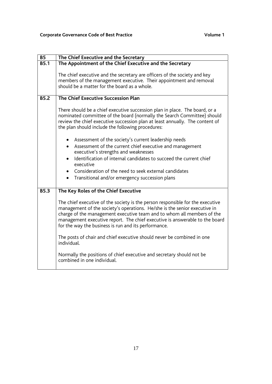| <b>B5</b>   | The Chief Executive and the Secretary                                                                                                                                                                                                                                                                                                                                        |
|-------------|------------------------------------------------------------------------------------------------------------------------------------------------------------------------------------------------------------------------------------------------------------------------------------------------------------------------------------------------------------------------------|
| <b>B5.1</b> | The Appointment of the Chief Executive and the Secretary                                                                                                                                                                                                                                                                                                                     |
|             | The chief executive and the secretary are officers of the society and key<br>members of the management executive. Their appointment and removal<br>should be a matter for the board as a whole.                                                                                                                                                                              |
| <b>B5.2</b> | The Chief Executive Succession Plan                                                                                                                                                                                                                                                                                                                                          |
|             | There should be a chief executive succession plan in place. The board, or a<br>nominated committee of the board (normally the Search Committee) should<br>review the chief executive succession plan at least annually. The content of<br>the plan should include the following procedures:                                                                                  |
|             | Assessment of the society's current leadership needs                                                                                                                                                                                                                                                                                                                         |
|             | Assessment of the current chief executive and management<br>$\bullet$                                                                                                                                                                                                                                                                                                        |
|             | executive's strengths and weaknesses                                                                                                                                                                                                                                                                                                                                         |
|             | Identification of internal candidates to succeed the current chief<br>executive                                                                                                                                                                                                                                                                                              |
|             | Consideration of the need to seek external candidates<br>$\bullet$                                                                                                                                                                                                                                                                                                           |
|             | Transitional and/or emergency succession plans<br>$\bullet$                                                                                                                                                                                                                                                                                                                  |
| <b>B5.3</b> | The Key Roles of the Chief Executive                                                                                                                                                                                                                                                                                                                                         |
|             |                                                                                                                                                                                                                                                                                                                                                                              |
|             | The chief executive of the society is the person responsible for the executive<br>management of the society's operations. He/she is the senior executive in<br>charge of the management executive team and to whom all members of the<br>management executive report. The chief executive is answerable to the board<br>for the way the business is run and its performance. |
|             | The posts of chair and chief executive should never be combined in one<br>individual.                                                                                                                                                                                                                                                                                        |
|             | Normally the positions of chief executive and secretary should not be<br>combined in one individual.                                                                                                                                                                                                                                                                         |
|             |                                                                                                                                                                                                                                                                                                                                                                              |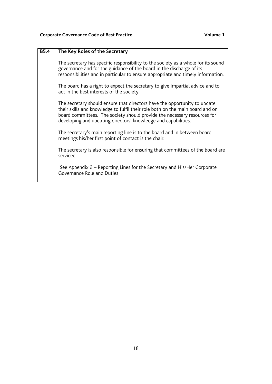| <b>B5.4</b> | The Key Roles of the Secretary                                                                                                                                                                                                                                                                           |
|-------------|----------------------------------------------------------------------------------------------------------------------------------------------------------------------------------------------------------------------------------------------------------------------------------------------------------|
|             | The secretary has specific responsibility to the society as a whole for its sound<br>governance and for the guidance of the board in the discharge of its<br>responsibilities and in particular to ensure appropriate and timely information.                                                            |
|             | The board has a right to expect the secretary to give impartial advice and to<br>act in the best interests of the society.                                                                                                                                                                               |
|             | The secretary should ensure that directors have the opportunity to update<br>their skills and knowledge to fulfil their role both on the main board and on<br>board committees. The society should provide the necessary resources for<br>developing and updating directors' knowledge and capabilities. |
|             | The secretary's main reporting line is to the board and in between board<br>meetings his/her first point of contact is the chair.                                                                                                                                                                        |
|             | The secretary is also responsible for ensuring that committees of the board are<br>serviced.                                                                                                                                                                                                             |
|             | [See Appendix 2 – Reporting Lines for the Secretary and His/Her Corporate<br>Governance Role and Duties]                                                                                                                                                                                                 |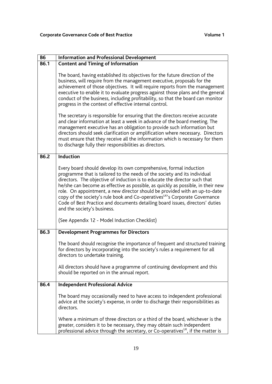| <b>B6</b>   | <b>Information and Professional Development</b>                                                                                                                                                                                                                                                                                                                                                                                                                                                                                                                                                            |
|-------------|------------------------------------------------------------------------------------------------------------------------------------------------------------------------------------------------------------------------------------------------------------------------------------------------------------------------------------------------------------------------------------------------------------------------------------------------------------------------------------------------------------------------------------------------------------------------------------------------------------|
| <b>B6.1</b> | <b>Content and Timing of Information</b>                                                                                                                                                                                                                                                                                                                                                                                                                                                                                                                                                                   |
|             | The board, having established its objectives for the future direction of the<br>business, will require from the management executive, proposals for the<br>achievement of those objectives. It will require reports from the management<br>executive to enable it to evaluate progress against those plans and the general<br>conduct of the business, including profitability, so that the board can monitor<br>progress in the context of effective internal control.                                                                                                                                    |
|             | The secretary is responsible for ensuring that the directors receive accurate<br>and clear information at least a week in advance of the board meeting. The<br>management executive has an obligation to provide such information but<br>directors should seek clarification or amplification where necessary. Directors<br>must ensure that they receive all the information which is necessary for them<br>to discharge fully their responsibilities as directors.                                                                                                                                       |
| <b>B6.2</b> | Induction                                                                                                                                                                                                                                                                                                                                                                                                                                                                                                                                                                                                  |
|             | Every board should develop its own comprehensive, formal induction<br>programme that is tailored to the needs of the society and its individual<br>directors. The objective of induction is to educate the director such that<br>he/she can become as effective as possible, as quickly as possible, in their new<br>role. On appointment, a new director should be provided with an up-to-date<br>copy of the society's rule book and Co-operatives <sup>UK'</sup> s Corporate Governance<br>Code of Best Practice and documents detailing board issues, directors' duties<br>and the society's business. |
|             | (See Appendix 12 - Model Induction Checklist)                                                                                                                                                                                                                                                                                                                                                                                                                                                                                                                                                              |
| <b>B6.3</b> | <b>Development Programmes for Directors</b>                                                                                                                                                                                                                                                                                                                                                                                                                                                                                                                                                                |
|             | The board should recognise the importance of frequent and structured training<br>for directors by incorporating into the society's rules a requirement for all<br>directors to undertake training.                                                                                                                                                                                                                                                                                                                                                                                                         |
|             | All directors should have a programme of continuing development and this<br>should be reported on in the annual report.                                                                                                                                                                                                                                                                                                                                                                                                                                                                                    |
| <b>B6.4</b> | <b>Independent Professional Advice</b>                                                                                                                                                                                                                                                                                                                                                                                                                                                                                                                                                                     |
|             | The board may occasionally need to have access to independent professional<br>advice at the society's expense, in order to discharge their responsibilities as<br>directors.                                                                                                                                                                                                                                                                                                                                                                                                                               |
|             | Where a minimum of three directors or a third of the board, whichever is the<br>greater, considers it to be necessary, they may obtain such independent<br>professional advice through the secretary, or Co-operatives <sup>ok</sup> , if the matter is                                                                                                                                                                                                                                                                                                                                                    |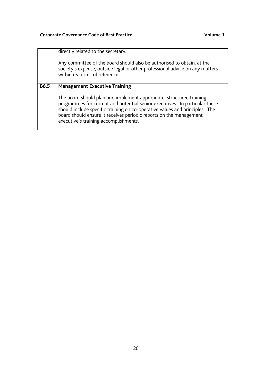|             | directly related to the secretary.<br>Any committee of the board should also be authorised to obtain, at the<br>society's expense, outside legal or other professional advice on any matters<br>within its terms of reference.                                                                                                                                                            |
|-------------|-------------------------------------------------------------------------------------------------------------------------------------------------------------------------------------------------------------------------------------------------------------------------------------------------------------------------------------------------------------------------------------------|
| <b>B6.5</b> | <b>Management Executive Training</b><br>The board should plan and implement appropriate, structured training<br>programmes for current and potential senior executives. In particular these<br>should include specific training on co-operative values and principles. The<br>board should ensure it receives periodic reports on the management<br>executive's training accomplishments. |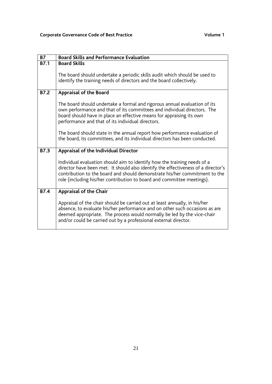| <b>B7</b>         | <b>Board Skills and Performance Evaluation</b>                                                                                                                                                                                                                                                                        |
|-------------------|-----------------------------------------------------------------------------------------------------------------------------------------------------------------------------------------------------------------------------------------------------------------------------------------------------------------------|
| <b>B7.1</b>       | <b>Board Skills</b>                                                                                                                                                                                                                                                                                                   |
|                   | The board should undertake a periodic skills audit which should be used to<br>identify the training needs of directors and the board collectively.                                                                                                                                                                    |
| <b>B7.2</b>       | Appraisal of the Board                                                                                                                                                                                                                                                                                                |
|                   | The board should undertake a formal and rigorous annual evaluation of its<br>own performance and that of its committees and individual directors. The<br>board should have in place an effective means for appraising its own<br>performance and that of its individual directors.                                    |
|                   | The board should state in the annual report how performance evaluation of<br>the board, its committees, and its individual directors has been conducted.                                                                                                                                                              |
| $\overline{B7.3}$ | Appraisal of the Individual Director                                                                                                                                                                                                                                                                                  |
|                   | Individual evaluation should aim to identify how the training needs of a<br>director have been met. It should also identify the effectiveness of a director's<br>contribution to the board and should demonstrate his/her commitment to the<br>role (including his/her contribution to board and committee meetings). |
| <b>B7.4</b>       | Appraisal of the Chair                                                                                                                                                                                                                                                                                                |
|                   | Appraisal of the chair should be carried out at least annually, in his/her<br>absence, to evaluate his/her performance and on other such occasions as are<br>deemed appropriate. The process would normally be led by the vice-chair<br>and/or could be carried out by a professional external director.              |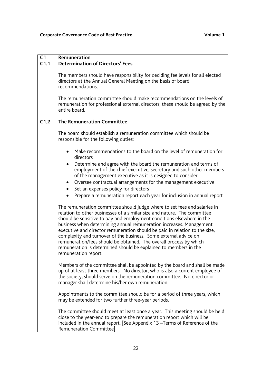| C <sub>1</sub>    | Remuneration                                                                                                                                                                                                                                                                                                                                                                                                                                                                                                                                                                                                               |
|-------------------|----------------------------------------------------------------------------------------------------------------------------------------------------------------------------------------------------------------------------------------------------------------------------------------------------------------------------------------------------------------------------------------------------------------------------------------------------------------------------------------------------------------------------------------------------------------------------------------------------------------------------|
| $\overline{C1.1}$ | <b>Determination of Directors' Fees</b>                                                                                                                                                                                                                                                                                                                                                                                                                                                                                                                                                                                    |
|                   | The members should have responsibility for deciding fee levels for all elected<br>directors at the Annual General Meeting on the basis of board<br>recommendations.                                                                                                                                                                                                                                                                                                                                                                                                                                                        |
|                   | The remuneration committee should make recommendations on the levels of<br>remuneration for professional external directors; these should be agreed by the<br>entire board.                                                                                                                                                                                                                                                                                                                                                                                                                                                |
| C1.2              | <b>The Remuneration Committee</b>                                                                                                                                                                                                                                                                                                                                                                                                                                                                                                                                                                                          |
|                   | The board should establish a remuneration committee which should be<br>responsible for the following duties:                                                                                                                                                                                                                                                                                                                                                                                                                                                                                                               |
|                   | Make recommendations to the board on the level of remuneration for<br>directors                                                                                                                                                                                                                                                                                                                                                                                                                                                                                                                                            |
|                   | Determine and agree with the board the remuneration and terms of<br>$\bullet$<br>employment of the chief executive, secretary and such other members<br>of the management executive as it is designed to consider                                                                                                                                                                                                                                                                                                                                                                                                          |
|                   | Oversee contractual arrangements for the management executive<br>$\bullet$<br>Set an expenses policy for directors                                                                                                                                                                                                                                                                                                                                                                                                                                                                                                         |
|                   | Prepare a remuneration report each year for inclusion in annual report                                                                                                                                                                                                                                                                                                                                                                                                                                                                                                                                                     |
|                   | The remuneration committee should judge where to set fees and salaries in<br>relation to other businesses of a similar size and nature. The committee<br>should be sensitive to pay and employment conditions elsewhere in the<br>business when determining annual remuneration increases. Management<br>executive and director remuneration should be paid in relation to the size,<br>complexity and turnover of the business. Some external advice on<br>remuneration/fees should be obtained. The overall process by which<br>remuneration is determined should be explained to members in the<br>remuneration report. |
|                   | Members of the committee shall be appointed by the board and shall be made<br>up of at least three members. No director, who is also a current employee of<br>the society, should serve on the remuneration committee. No director or<br>manager shall determine his/her own remuneration.                                                                                                                                                                                                                                                                                                                                 |
|                   | Appointments to the committee should be for a period of three years, which<br>may be extended for two further three-year periods.                                                                                                                                                                                                                                                                                                                                                                                                                                                                                          |
|                   | The committee should meet at least once a year. This meeting should be held<br>close to the year-end to prepare the remuneration report which will be<br>included in the annual report. [See Appendix 13 - Terms of Reference of the<br>Remuneration Committee]                                                                                                                                                                                                                                                                                                                                                            |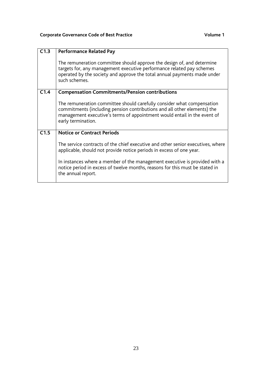| C1.3 | <b>Performance Related Pay</b>                                                                                                                                                                                                                       |
|------|------------------------------------------------------------------------------------------------------------------------------------------------------------------------------------------------------------------------------------------------------|
|      | The remuneration committee should approve the design of, and determine<br>targets for, any management executive performance related pay schemes<br>operated by the society and approve the total annual payments made under<br>such schemes.         |
| C1.4 | <b>Compensation Commitments/Pension contributions</b>                                                                                                                                                                                                |
|      | The remuneration committee should carefully consider what compensation<br>commitments (including pension contributions and all other elements) the<br>management executive's terms of appointment would entail in the event of<br>early termination. |
| C1.5 | <b>Notice or Contract Periods</b>                                                                                                                                                                                                                    |
|      | The service contracts of the chief executive and other senior executives, where<br>applicable, should not provide notice periods in excess of one year.                                                                                              |
|      | In instances where a member of the management executive is provided with a<br>notice period in excess of twelve months, reasons for this must be stated in<br>the annual report.                                                                     |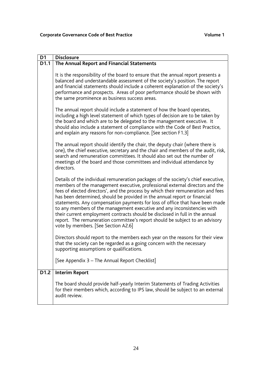| D <sub>1</sub> | <b>Disclosure</b>                                                                                                                                                                                                                                                                                                                                                                                                                                                                                                                                                                                                                                                                                    |
|----------------|------------------------------------------------------------------------------------------------------------------------------------------------------------------------------------------------------------------------------------------------------------------------------------------------------------------------------------------------------------------------------------------------------------------------------------------------------------------------------------------------------------------------------------------------------------------------------------------------------------------------------------------------------------------------------------------------------|
| D1.1           | The Annual Report and Financial Statements                                                                                                                                                                                                                                                                                                                                                                                                                                                                                                                                                                                                                                                           |
|                | It is the responsibility of the board to ensure that the annual report presents a<br>balanced and understandable assessment of the society's position. The report<br>and financial statements should include a coherent explanation of the society's<br>performance and prospects. Areas of poor performance should be shown with<br>the same prominence as business success areas.                                                                                                                                                                                                                                                                                                                  |
|                | The annual report should include a statement of how the board operates,<br>including a high level statement of which types of decision are to be taken by<br>the board and which are to be delegated to the management executive. It<br>should also include a statement of compliance with the Code of Best Practice,<br>and explain any reasons for non-compliance. [See section F1.3]                                                                                                                                                                                                                                                                                                              |
|                | The annual report should identify the chair, the deputy chair (where there is<br>one), the chief executive, secretary and the chair and members of the audit, risk,<br>search and remuneration committees. It should also set out the number of<br>meetings of the board and those committees and individual attendance by<br>directors.                                                                                                                                                                                                                                                                                                                                                             |
|                | Details of the individual remuneration packages of the society's chief executive,<br>members of the management executive, professional external directors and the<br>fees of elected directors', and the process by which their remuneration and fees<br>has been determined, should be provided in the annual report or financial<br>statements. Any compensation payments for loss of office that have been made<br>to any members of the management executive and any inconsistencies with<br>their current employment contracts should be disclosed in full in the annual<br>report. The remuneration committee's report should be subject to an advisory<br>vote by members. [See Section A2.6] |
|                | Directors should report to the members each year on the reasons for their view<br>that the society can be regarded as a going concern with the necessary<br>supporting assumptions or qualifications.                                                                                                                                                                                                                                                                                                                                                                                                                                                                                                |
|                | [See Appendix 3 - The Annual Report Checklist]                                                                                                                                                                                                                                                                                                                                                                                                                                                                                                                                                                                                                                                       |
| D1.2           | <b>Interim Report</b>                                                                                                                                                                                                                                                                                                                                                                                                                                                                                                                                                                                                                                                                                |
|                | The board should provide half-yearly Interim Statements of Trading Activities<br>for their members which, according to IPS law, should be subject to an external<br>audit review.                                                                                                                                                                                                                                                                                                                                                                                                                                                                                                                    |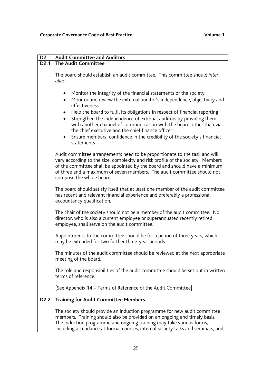| D <sub>2</sub>    | <b>Audit Committee and Auditors</b>                                                                                                                                                                                                                                                                                                                                                                                                                                                                                                                                            |
|-------------------|--------------------------------------------------------------------------------------------------------------------------------------------------------------------------------------------------------------------------------------------------------------------------------------------------------------------------------------------------------------------------------------------------------------------------------------------------------------------------------------------------------------------------------------------------------------------------------|
| D <sub>2.1</sub>  | <b>The Audit Committee</b>                                                                                                                                                                                                                                                                                                                                                                                                                                                                                                                                                     |
|                   | The board should establish an audit committee. This committee should inter<br>alia: -                                                                                                                                                                                                                                                                                                                                                                                                                                                                                          |
|                   | Monitor the integrity of the financial statements of the society<br>$\bullet$<br>Monitor and review the external auditor's independence, objectivity and<br>$\bullet$<br>effectiveness<br>Help the board to fulfil its obligations in respect of financial reporting<br>Strengthen the independence of external auditors by providing them<br>with another channel of communication with the board, other than via<br>the chief executive and the chief finance officer<br>Ensure members' confidence in the credibility of the society's financial<br>$\bullet$<br>statements |
|                   | Audit committee arrangements need to be proportionate to the task and will<br>vary according to the size, complexity and risk profile of the society. Members<br>of the committee shall be appointed by the board and should have a minimum<br>of three and a maximum of seven members. The audit committee should not<br>comprise the whole board.                                                                                                                                                                                                                            |
|                   | The board should satisfy itself that at least one member of the audit committee<br>has recent and relevant financial experience and preferably a professional<br>accountancy qualification.                                                                                                                                                                                                                                                                                                                                                                                    |
|                   | The chair of the society should not be a member of the audit committee. No<br>director, who is also a current employee or superannuated recently retired<br>employee, shall serve on the audit committee.                                                                                                                                                                                                                                                                                                                                                                      |
|                   | Appointments to the committee should be for a period of three years, which<br>may be extended for two further three-year periods.                                                                                                                                                                                                                                                                                                                                                                                                                                              |
|                   | The minutes of the audit committee should be reviewed at the next appropriate<br>meeting of the board.                                                                                                                                                                                                                                                                                                                                                                                                                                                                         |
|                   | The role and responsibilities of the audit committee should be set out in written<br>terms of reference.                                                                                                                                                                                                                                                                                                                                                                                                                                                                       |
|                   | [See Appendix 14 – Terms of Reference of the Audit Committee]                                                                                                                                                                                                                                                                                                                                                                                                                                                                                                                  |
| D <sub>2</sub> .2 | <b>Training for Audit Committee Members</b>                                                                                                                                                                                                                                                                                                                                                                                                                                                                                                                                    |
|                   | The society should provide an induction programme for new audit committee<br>members. Training should also be provided on an ongoing and timely basis.<br>The induction programme and ongoing training may take various forms,<br>including attendance at formal courses, internal society talks and seminars, and                                                                                                                                                                                                                                                             |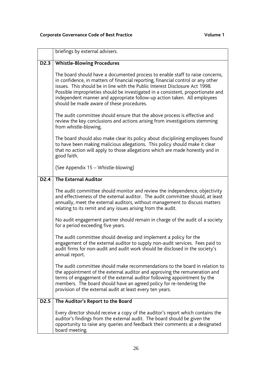|                  | briefings by external advisers.                                                                                                                                                                                                                                                                                                                                                                                                                                |
|------------------|----------------------------------------------------------------------------------------------------------------------------------------------------------------------------------------------------------------------------------------------------------------------------------------------------------------------------------------------------------------------------------------------------------------------------------------------------------------|
| D <sub>2.3</sub> | <b>Whistle-Blowing Procedures</b>                                                                                                                                                                                                                                                                                                                                                                                                                              |
|                  | The board should have a documented process to enable staff to raise concerns,<br>in confidence, in matters of financial reporting, financial control or any other<br>issues. This should be in line with the Public Interest Disclosure Act 1998.<br>Possible improprieties should be investigated in a consistent, proportionate and<br>independent manner and appropriate follow-up action taken. All employees<br>should be made aware of these procedures. |
|                  | The audit committee should ensure that the above process is effective and<br>review the key conclusions and actions arising from investigations stemming<br>from whistle-blowing.                                                                                                                                                                                                                                                                              |
|                  | The board should also make clear its policy about disciplining employees found<br>to have been making malicious allegations. This policy should make it clear<br>that no action will apply to those allegations which are made honestly and in<br>good faith.                                                                                                                                                                                                  |
|                  | (See Appendix 15 - Whistle-blowing)                                                                                                                                                                                                                                                                                                                                                                                                                            |
| D <sub>2.4</sub> | <b>The External Auditor</b>                                                                                                                                                                                                                                                                                                                                                                                                                                    |
|                  | The audit committee should monitor and review the independence, objectivity<br>and effectiveness of the external auditor. The audit committee should, at least<br>annually, meet the external auditors, without management to discuss matters<br>relating to its remit and any issues arising from the audit.                                                                                                                                                  |
|                  | No audit engagement partner should remain in charge of the audit of a society<br>for a period exceeding five years.                                                                                                                                                                                                                                                                                                                                            |
|                  | The audit committee should develop and implement a policy for the<br>engagement of the external auditor to supply non-audit services. Fees paid to<br>audit firms for non-audit and audit work should be disclosed in the society's<br>annual report.                                                                                                                                                                                                          |
|                  | The audit committee should make recommendations to the board in relation to<br>the appointment of the external auditor and approving the remuneration and<br>terms of engagement of the external auditor following appointment by the<br>members. The board should have an agreed policy for re-tendering the<br>provision of the external audit at least every ten years.                                                                                     |
| D <sub>2.5</sub> | The Auditor's Report to the Board                                                                                                                                                                                                                                                                                                                                                                                                                              |
|                  | Every director should receive a copy of the auditor's report which contains the<br>auditor's findings from the external audit. The board should be given the<br>opportunity to raise any queries and feedback their comments at a designated<br>board meeting.                                                                                                                                                                                                 |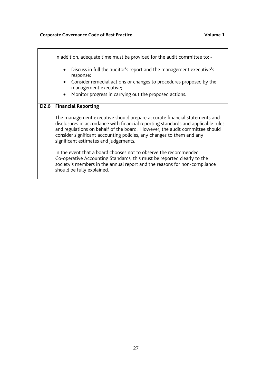|      | In addition, adequate time must be provided for the audit committee to: -<br>Discuss in full the auditor's report and the management executive's<br>response;<br>• Consider remedial actions or changes to procedures proposed by the<br>management executive;<br>Monitor progress in carrying out the proposed actions.                                        |
|------|-----------------------------------------------------------------------------------------------------------------------------------------------------------------------------------------------------------------------------------------------------------------------------------------------------------------------------------------------------------------|
|      |                                                                                                                                                                                                                                                                                                                                                                 |
| D2.6 | <b>Financial Reporting</b>                                                                                                                                                                                                                                                                                                                                      |
|      | The management executive should prepare accurate financial statements and<br>disclosures in accordance with financial reporting standards and applicable rules<br>and regulations on behalf of the board. However, the audit committee should<br>consider significant accounting policies, any changes to them and any<br>significant estimates and judgements. |
|      | In the event that a board chooses not to observe the recommended<br>Co-operative Accounting Standards, this must be reported clearly to the<br>society's members in the annual report and the reasons for non-compliance<br>should be fully explained.                                                                                                          |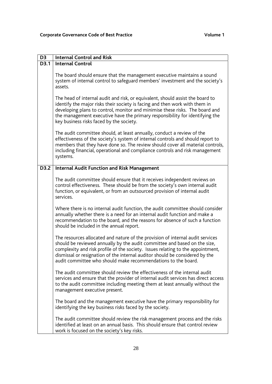| D <sub>3</sub> | <b>Internal Control and Risk</b>                                                                                                                                                                                                                                                                                                                                                                |
|----------------|-------------------------------------------------------------------------------------------------------------------------------------------------------------------------------------------------------------------------------------------------------------------------------------------------------------------------------------------------------------------------------------------------|
| D3.1           | <b>Internal Control</b>                                                                                                                                                                                                                                                                                                                                                                         |
|                | The board should ensure that the management executive maintains a sound<br>system of internal control to safeguard members' investment and the society's<br>assets.                                                                                                                                                                                                                             |
|                | The head of internal audit and risk, or equivalent, should assist the board to<br>identify the major risks their society is facing and then work with them in<br>developing plans to control, monitor and minimise these risks. The board and<br>the management executive have the primary responsibility for identifying the<br>key business risks faced by the society.                       |
|                | The audit committee should, at least annually, conduct a review of the<br>effectiveness of the society's system of internal controls and should report to<br>members that they have done so. The review should cover all material controls,<br>including financial, operational and compliance controls and risk management<br>systems.                                                         |
| D3.2           | <b>Internal Audit Function and Risk Management</b>                                                                                                                                                                                                                                                                                                                                              |
|                | The audit committee should ensure that it receives independent reviews on<br>control effectiveness. These should be from the society's own internal audit<br>function, or equivalent, or from an outsourced provision of internal audit<br>services.                                                                                                                                            |
|                | Where there is no internal audit function, the audit committee should consider<br>annually whether there is a need for an internal audit function and make a<br>recommendation to the board, and the reasons for absence of such a function<br>should be included in the annual report.                                                                                                         |
|                | The resources allocated and nature of the provision of internal audit services<br>should be reviewed annually by the audit committee and based on the size,<br>complexity and risk profile of the society. Issues relating to the appointment,<br>dismissal or resignation of the internal auditor should be considered by the<br>audit committee who should make recommendations to the board. |
|                | The audit committee should review the effectiveness of the internal audit<br>services and ensure that the provider of internal audit services has direct access<br>to the audit committee including meeting them at least annually without the<br>management executive present.                                                                                                                 |
|                | The board and the management executive have the primary responsibility for<br>identifying the key business risks faced by the society.                                                                                                                                                                                                                                                          |
|                | The audit committee should review the risk management process and the risks<br>identified at least on an annual basis. This should ensure that control review<br>work is focused on the society's key risks.                                                                                                                                                                                    |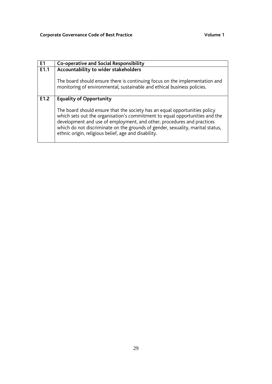| E1   | <b>Co-operative and Social Responsibility</b>                                                                                                                                                                                                                                                                                                                                                                   |
|------|-----------------------------------------------------------------------------------------------------------------------------------------------------------------------------------------------------------------------------------------------------------------------------------------------------------------------------------------------------------------------------------------------------------------|
| E1.1 | Accountability to wider stakeholders<br>The board should ensure there is continuing focus on the implementation and<br>monitoring of environmental, sustainable and ethical business policies.                                                                                                                                                                                                                  |
| E1.2 | <b>Equality of Opportunity</b><br>The board should ensure that the society has an equal opportunities policy<br>which sets out the organisation's commitment to equal opportunities and the<br>development and use of employment, and other, procedures and practices<br>which do not discriminate on the grounds of gender, sexuality, marital status,<br>ethnic origin, religious belief, age and disability. |